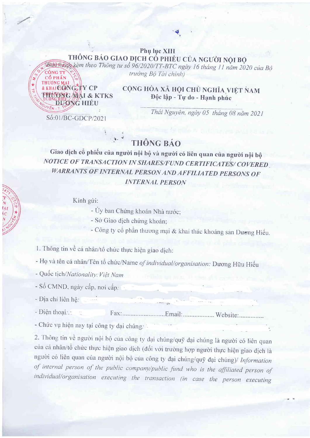## Phụ lục XIII THÔNG BÁO GIAO DỊCH CỔ PHIẾU CỦA NGƯỜI NỘI BỘ

Bunthankkèm theo Thông tư số 96/2020/TT-BTC ngày 16 tháng 11 năm 2020 của Bộ trưởng Bộ Tài chính)

& KHAICIONGTY CP UONG MAI & KTKS DUONG HIÊU

CỘNG HÒA XÃ HỘI CHỦ NGHĨA VIỆT NAM Độc lập - Tự do - Hạnh phúc

Số:01/BC-GDCP/2021

Thái Nguyên, ngày 05 tháng 08 năm 2021

## THỒNG BÁO

Giao dịch cổ phiếu của người nội bộ và người có liên quan của người nội bộ NOTICE OF TRANSACTION IN SHARES/FUND CERTIFICATES/ COVERED. **WARRANTS OF INTERNAL PERSON AND AFFILIATED PERSONS OF INTERNAL PERSON** 

Kính gửi:

- Ủy ban Chứng khoán Nhà nước;

- Sở Giao dịch chứng khoán;

- Công ty cổ phần thương mại & khai thác khoáng sản Dương Hiếu.

1. Thông tin về cá nhân/tổ chức thực hiện giao dịch:

- Họ và tên cá nhân/Tên tổ chức/Name of individual/organisation: Dương Hữu Hiếu

- Quốc tịch/Nationality: Việt Nam

- Số CMND, ngày cấp, nơi cấp.

- Địa chỉ liên hê:

- Điền thoại: 

- Chức vụ hiện nay tại công ty đại chúng:

2. Thông tin về người nội bộ của công ty đại chúng/quỹ đại chúng là người có liên quan của cá nhân/tổ chức thực hiện giao dịch (đối với trường hợp người thực hiện giao dịch là người có liên quan của người nội bộ của công ty đại chúng/quỹ đại chúng)/ Information of internal person of the public company/public fund who is the affiliated person of individual/organisation executing the transaction (in case the person executing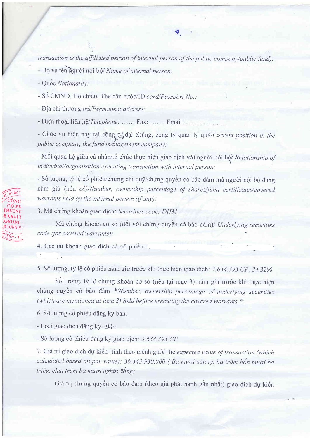transaction is the affiliated person of internal person of the public company/public fund):

- Họ và tên người nội bộ/ Name of internal person:

- Quốc Nationality:

A600

KHOÁNG

 $D \vec{U} \vec{O} \vec{N} \vec{G}$  H:

- Số CMND, Hộ chiếu, Thẻ căn cước/ID card/Passport No.:

- Địa chỉ thường trú/Permanent address:

- Điện thoại liên hệ/Telephone: ...... Fax: ....... Email: ....................

- Chức vụ hiện nay tại công ty đại chúng, công ty quản lý quỹ/Current position in the public company, the fund management company:

- Mối quan hệ giữa cá nhân/tổ chức thực hiện giao dịch với người nội bộ/ Relationship of individual/organisation executing transaction with internal person:

- Số lượng, tỷ lệ cổ phiếu/chứng chỉ quỹ/chứng quyền có bảo đảm mà người nội bộ đang nắm giữ (nếu có)/Number, ownership percentage of shares/fund certificates/covered warrants held by the internal person (if any):

3. Mã chứng khoán giao dịch/ Securities code: DHM

Mã chứng khoán cơ sở (đối với chứng quyền có bảo đảm)/ Underlying securities code (for covered warrants):

4. Các tài khoản giao dịch có cổ phiếu.

5. Số lượng, tỷ lệ cổ phiếu nắm giữ trước khi thực hiện giao dịch: 7.634.393 CP, 24.32%

Số lượng, tỷ lệ chứng khoán cơ sở (nêu tại mục 3) nắm giữ trước khi thực hiện chứng quyền có bảo đảm \*/Number, ownership percentage of underlying securities (which are mentioned at item 3) held before executing the covered warrants  $*_$ ;

6. Số lượng cổ phiếu đăng ký bán.

- Loại giao dịch đăng ký: Bán

- Số lượng cổ phiếu đăng ký giao dịch: 3.634.393 CP

7. Giá trị giao dịch dự kiến (tính theo mệnh giá)/The expected value of transaction (which calculated based on par value): 36.343.930.000 (Ba muoi sáu tý, ba trăm bốn muoi ba triệu, chín trăm ba mươi nghìn đồng)

Giá trị chứng quyền có bảo đảm (theo giá phát hành gần nhất) giao dịch dự kiến